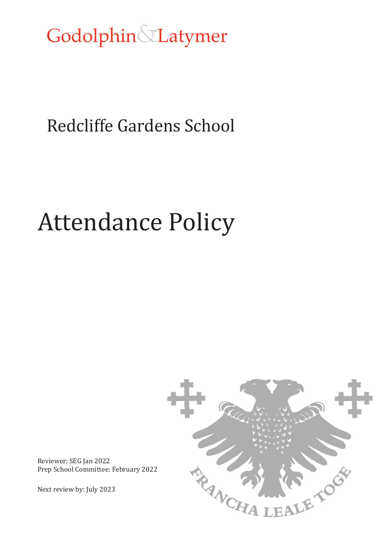Godolphin&Latymer

# Redcliffe Gardens School

# Attendance Policy



Reviewer: SEG Jan 2022 Prep School Committee: February 2022

Next review by: July 2023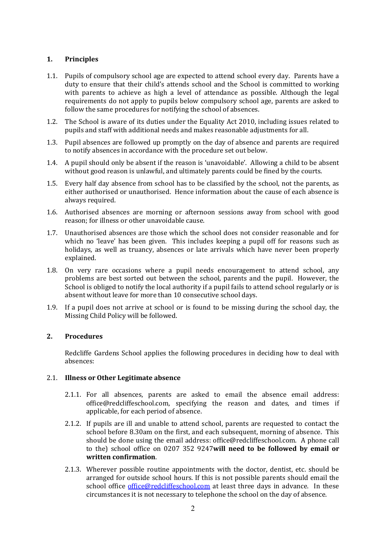# **1. Principles**

- 1.1. Pupils of compulsory school age are expected to attend school every day. Parents have a duty to ensure that their child's attends school and the School is committed to working with parents to achieve as high a level of attendance as possible. Although the legal requirements do not apply to pupils below compulsory school age, parents are asked to follow the same procedures for notifying the school of absences.
- 1.2. The School is aware of its duties under the Equality Act 2010, including issues related to pupils and staff with additional needs and makes reasonable adjustments for all.
- 1.3. Pupil absences are followed up promptly on the day of absence and parents are required to notify absences in accordance with the procedure set out below.
- 1.4. A pupil should only be absent if the reason is 'unavoidable'. Allowing a child to be absent without good reason is unlawful, and ultimately parents could be fined by the courts.
- 1.5. Every half day absence from school has to be classified by the school, not the parents, as either authorised or unauthorised. Hence information about the cause of each absence is always required.
- 1.6. Authorised absences are morning or afternoon sessions away from school with good reason; for illness or other unavoidable cause.
- 1.7. Unauthorised absences are those which the school does not consider reasonable and for which no 'leave' has been given. This includes keeping a pupil off for reasons such as holidays, as well as truancy, absences or late arrivals which have never been properly explained.
- 1.8. On very rare occasions where a pupil needs encouragement to attend school, any problems are best sorted out between the school, parents and the pupil. However, the School is obliged to notify the local authority if a pupil fails to attend school regularly or is absent without leave for more than 10 consecutive school days.
- 1.9. If a pupil does not arrive at school or is found to be missing during the school day, the Missing Child Policy will be followed.

# **2. Procedures**

Redcliffe Gardens School applies the following procedures in deciding how to deal with absences:

#### 2.1. **Illness or Other Legitimate absence**

- 2.1.1. For all absences, parents are asked to email the absence email address: office@redcliffeschool.com, specifying the reason and dates, and times if applicable, for each period of absence.
- 2.1.2. If pupils are ill and unable to attend school, parents are requested to contact the school before 8.30am on the first, and each subsequent, morning of absence. This should be done using the email address: office@redcliffeschool.com. A phone call to the) school office on 0207 352 9247**will need to be followed by email or written confirmation**.
- 2.1.3. Wherever possible routine appointments with the doctor, dentist, etc. should be arranged for outside school hours. If this is not possible parents should email the school office [office@redcliffeschool.com](mailto:office@redcliffeschool.com) at least three days in advance. In these circumstances it is not necessary to telephone the school on the day of absence.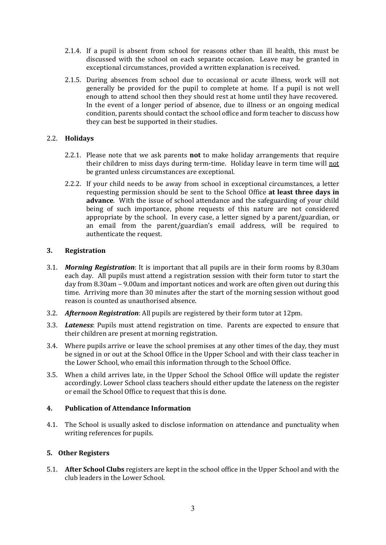- 2.1.4. If a pupil is absent from school for reasons other than ill health, this must be discussed with the school on each separate occasion. Leave may be granted in exceptional circumstances, provided a written explanation is received.
- 2.1.5. During absences from school due to occasional or acute illness, work will not generally be provided for the pupil to complete at home. If a pupil is not well enough to attend school then they should rest at home until they have recovered. In the event of a longer period of absence, due to illness or an ongoing medical condition, parents should contact the school office and form teacher to discuss how they can best be supported in their studies.

# 2.2. **Holidays**

- 2.2.1. Please note that we ask parents **not** to make holiday arrangements that require their children to miss days during term-time. Holiday leave in term time will not be granted unless circumstances are exceptional.
- 2.2.2. If your child needs to be away from school in exceptional circumstances, a letter requesting permission should be sent to the School Office **at least three days in advance**. With the issue of school attendance and the safeguarding of your child being of such importance, phone requests of this nature are not considered appropriate by the school. In every case, a letter signed by a parent/guardian, or an email from the parent/guardian's email address, will be required to authenticate the request.

# **3. Registration**

- 3.1. *Morning Registration*: It is important that all pupils are in their form rooms by 8.30am each day. All pupils must attend a registration session with their form tutor to start the day from 8.30am – 9.00am and important notices and work are often given out during this time. Arriving more than 30 minutes after the start of the morning session without good reason is counted as unauthorised absence.
- 3.2. *Afternoon Registration*: All pupils are registered by their form tutor at 12pm.
- 3.3. *Lateness*: Pupils must attend registration on time. Parents are expected to ensure that their children are present at morning registration.
- 3.4. Where pupils arrive or leave the school premises at any other times of the day, they must be signed in or out at the School Office in the Upper School and with their class teacher in the Lower School, who email this information through to the School Office.
- 3.5. When a child arrives late, in the Upper School the School Office will update the register accordingly. Lower School class teachers should either update the lateness on the register or email the School Office to request that this is done.

# **4. Publication of Attendance Information**

4.1. The School is usually asked to disclose information on attendance and punctuality when writing references for pupils.

# **5. Other Registers**

5.1. **After School Clubs** registers are kept in the school office in the Upper School and with the club leaders in the Lower School.